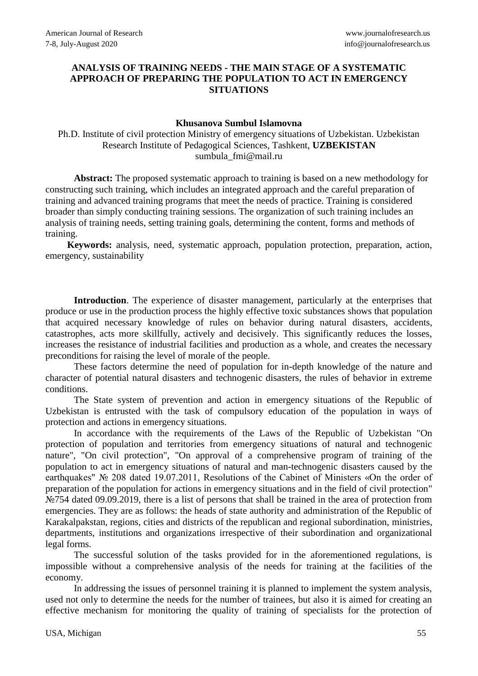## **ANALYSIS OF TRAINING NEEDS - THE MAIN STAGE OF A SYSTEMATIC APPROACH OF PREPARING THE POPULATION TO ACT IN EMERGENCY SITUATIONS**

## **Khusanova Sumbul Islamovna**

Ph.D. Institute of civil protection Ministry of emergency situations of Uzbekistan. Uzbekistan Research Institute of Pedagogical Sciences, Tashkent, **UZBEKISTAN**  sumbula\_fmi@mail.ru

**Abstract:** The proposed systematic approach to training is based on a new methodology for constructing such training, which includes an integrated approach and the careful preparation of training and advanced training programs that meet the needs of practice. Training is considered broader than simply conducting training sessions. The organization of such training includes an analysis of training needs, setting training goals, determining the content, forms and methods of training.

**Keywords:** analysis, need, systematic approach, population protection, preparation, action, emergency, sustainability

Introduction. The experience of disaster management, particularly at the enterprises that produce or use in the production process the highly effective toxic substances shows that population that acquired necessary knowledge of rules on behavior during natural disasters, accidents, catastrophes, acts more skillfully, actively and decisively. This significantly reduces the losses, increases the resistance of industrial facilities and production as a whole, and creates the necessary preconditions for raising the level of morale of the people.

These factors determine the need of population for in-depth knowledge of the nature and character of potential natural disasters and technogenic disasters, the rules of behavior in extreme conditions.

The State system of prevention and action in emergency situations of the Republic of Uzbekistan is entrusted with the task of compulsory education of the population in ways of protection and actions in emergency situations.

In accordance with the requirements of the Laws of the Republic of Uzbekistan "On protection of population and territories from emergency situations of natural and technogenic nature", "On civil protection", "On approval of a comprehensive program of training of the population to act in emergency situations of natural and man-technogenic disasters caused by the earthquakes" № 208 dated 19.07.2011, Resolutions of the Cabinet of Ministers «On the order of preparation of the population for actions in emergency situations and in the field of civil protection" No. 2019, there is a list of persons that shall be trained in the area of protection from emergencies. They are as follows: the heads of state authority and administration of the Republic of Karakalpakstan, regions, cities and districts of the republican and regional subordination, ministries, departments, institutions and organizations irrespective of their subordination and organizational legal forms.

The successful solution of the tasks provided for in the aforementioned regulations, is impossible without a comprehensive analysis of the needs for training at the facilities of the economy.

In addressing the issues of personnel training it is planned to implement the system analysis, used not only to determine the needs for the number of trainees, but also it is aimed for creating an effective mechanism for monitoring the quality of training of specialists for the protection of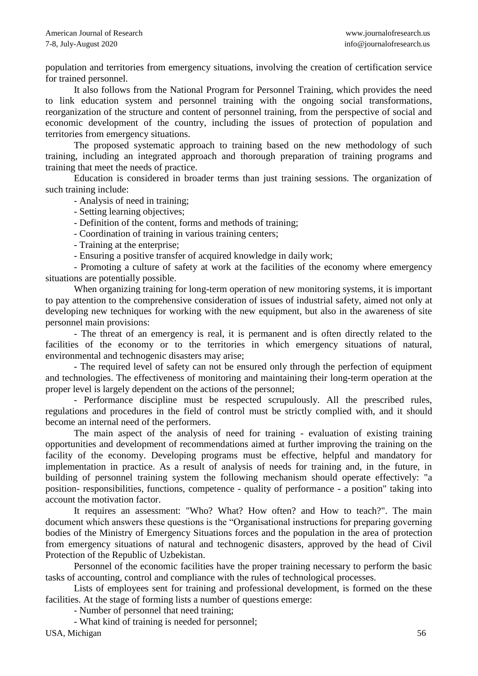population and territories from emergency situations, involving the creation of certification service for trained personnel.

It also follows from the National Program for Personnel Training, which provides the need to link education system and personnel training with the ongoing social transformations, reorganization of the structure and content of personnel training, from the perspective of social and economic development of the country, including the issues of protection of population and territories from emergency situations.

The proposed systematic approach to training based on the new methodology of such training, including an integrated approach and thorough preparation of training programs and training that meet the needs of practice.

Education is considered in broader terms than just training sessions. The organization of such training include:

- Analysis of need in training;

- Setting learning objectives;

- Definition of the content, forms and methods of training;

- Coordination of training in various training centers;

- Training at the enterprise;

- Ensuring a positive transfer of acquired knowledge in daily work;

- Promoting a culture of safety at work at the facilities of the economy where emergency situations are potentially possible.

When organizing training for long-term operation of new monitoring systems, it is important to pay attention to the comprehensive consideration of issues of industrial safety, aimed not only at developing new techniques for working with the new equipment, but also in the awareness of site personnel main provisions:

- The threat of an emergency is real, it is permanent and is often directly related to the facilities of the economy or to the territories in which emergency situations of natural, environmental and technogenic disasters may arise;

- The required level of safety can not be ensured only through the perfection of equipment and technologies. The effectiveness of monitoring and maintaining their long-term operation at the proper level is largely dependent on the actions of the personnel;

- Performance discipline must be respected scrupulously. All the prescribed rules, regulations and procedures in the field of control must be strictly complied with, and it should become an internal need of the performers.

The main aspect of the analysis of need for training - evaluation of existing training opportunities and development of recommendations aimed at further improving the training on the facility of the economy. Developing programs must be effective, helpful and mandatory for implementation in practice. As a result of analysis of needs for training and, in the future, in building of personnel training system the following mechanism should operate effectively: "a position- responsibilities, functions, competence - quality of performance - a position" taking into account the motivation factor.

It requires an assessment: "Who? What? How often? and How to teach?". The main document which answers these questions is the "Organisational instructions for preparing governing bodies of the Ministry of Emergency Situations forces and the population in the area of protection from emergency situations of natural and technogenic disasters, approved by the head of Civil Protection of the Republic of Uzbekistan.

Personnel of the economic facilities have the proper training necessary to perform the basic tasks of accounting, control and compliance with the rules of technological processes.

Lists of employees sent for training and professional development, is formed on the these facilities. At the stage of forming lists a number of questions emerge:

- Number of personnel that need training;

- What kind of training is needed for personnel;

USA, Michigan 56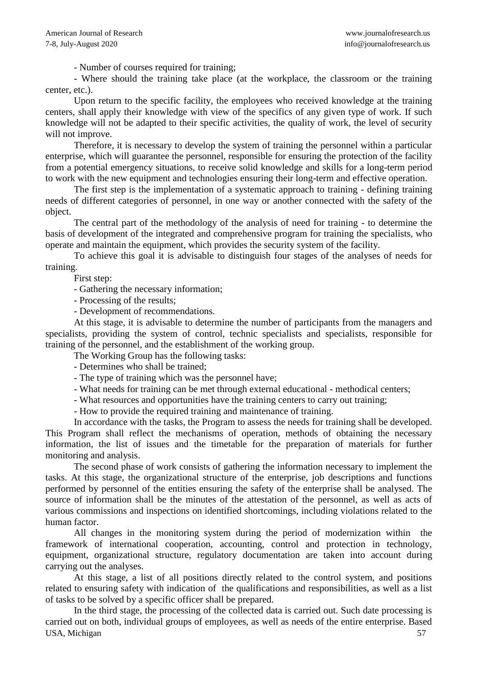- Number of courses required for training;

- Where should the training take place (at the workplace, the classroom or the training center, etc.).

Upon return to the specific facility, the employees who received knowledge at the training centers, shall apply their knowledge with view of the specifics of any given type of work. If such knowledge will not be adapted to their specific activities, the quality of work, the level of security will not improve.

Therefore, it is necessary to develop the system of training the personnel within a particular enterprise, which will guarantee the personnel, responsible for ensuring the protection of the facility from a potential emergency situations, to receive solid knowledge and skills for a long-term period to work with the new equipment and technologies ensuring their long-term and effective operation.

The first step is the implementation of a systematic approach to training - defining training needs of different categories of personnel, in one way or another connected with the safety of the object.

The central part of the methodology of the analysis of need for training - to determine the basis of development of the integrated and comprehensive program for training the specialists, who operate and maintain the equipment, which provides the security system of the facility.

To achieve this goal it is advisable to distinguish four stages of the analyses of needs for training.

First step:

- Gathering the necessary information;

- Processing of the results;

- Development of recommendations.

At this stage, it is advisable to determine the number of participants from the managers and specialists, providing the system of control, technic specialists and specialists, responsible for training of the personnel, and the establishment of the working group.

The Working Group has the following tasks:

- Determines who shall be trained;

- The type of training which was the personnel have;
- What needs for training can be met through external educational methodical centers;
- What resources and opportunities have the training centers to carry out training;

- How to provide the required training and maintenance of training.

In accordance with the tasks, the Program to assess the needs for training shall be developed. This Program shall reflect the mechanisms of operation, methods of obtaining the necessary information, the list of issues and the timetable for the preparation of materials for further monitoring and analysis.

The second phase of work consists of gathering the information necessary to implement the tasks. At this stage, the organizational structure of the enterprise, job descriptions and functions performed by personnel of the entities ensuring the safety of the enterprise shall be analysed. The source of information shall be the minutes of the attestation of the personnel, as well as acts of various commissions and inspections on identified shortcomings, including violations related to the human factor.

All changes in the monitoring system during the period of modernization within the framework of international cooperation, accounting, control and protection in technology, equipment, organizational structure, regulatory documentation are taken into account during carrying out the analyses.

At this stage, a list of all positions directly related to the control system, and positions related to ensuring safety with indication of the qualifications and responsibilities, as well as a list of tasks to be solved by a specific officer shall be prepared.

USA, Michigan 57 In the third stage, the processing of the collected data is carried out. Such date processing is carried out on both, individual groups of employees, as well as needs of the entire enterprise. Based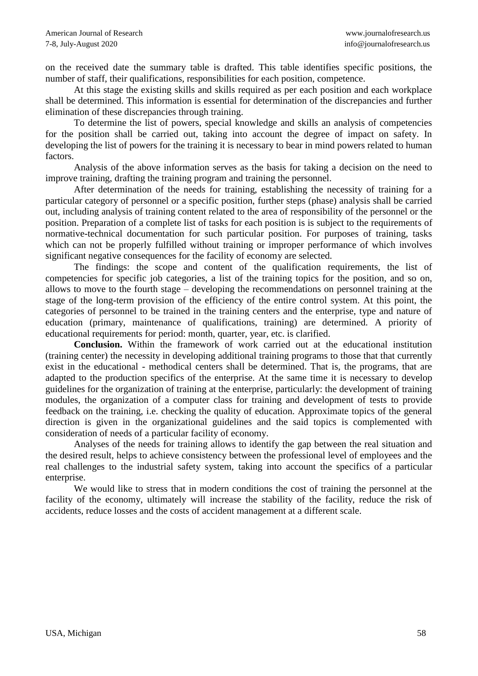on the received date the summary table is drafted. This table identifies specific positions, the number of staff, their qualifications, responsibilities for each position, competence.

At this stage the existing skills and skills required as per each position and each workplace shall be determined. This information is essential for determination of the discrepancies and further elimination of these discrepancies through training.

To determine the list of powers, special knowledge and skills an analysis of competencies for the position shall be carried out, taking into account the degree of impact on safety. In developing the list of powers for the training it is necessary to bear in mind powers related to human factors.

Analysis of the above information serves as the basis for taking a decision on the need to improve training, drafting the training program and training the personnel.

After determination of the needs for training, establishing the necessity of training for a particular category of personnel or a specific position, further steps (phase) analysis shall be carried out, including analysis of training content related to the area of responsibility of the personnel or the position. Preparation of a complete list of tasks for each position is is subject to the requirements of normative-technical documentation for such particular position. For purposes of training, tasks which can not be properly fulfilled without training or improper performance of which involves significant negative consequences for the facility of economy are selected.

The findings: the scope and content of the qualification requirements, the list of competencies for specific job categories, a list of the training topics for the position, and so on, allows to move to the fourth stage – developing the recommendations on personnel training at the stage of the long-term provision of the efficiency of the entire control system. At this point, the categories of personnel to be trained in the training centers and the enterprise, type and nature of education (primary, maintenance of qualifications, training) are determined. A priority of educational requirements for period: month, quarter, year, etc. is clarified.

**Conclusion.** Within the framework of work carried out at the educational institution (training center) the necessity in developing additional training programs to those that that currently exist in the educational - methodical centers shall be determined. That is, the programs, that are adapted to the production specifics of the enterprise. At the same time it is necessary to develop guidelines for the organization of training at the enterprise, particularly: the development of training modules, the organization of a computer class for training and development of tests to provide feedback on the training, i.e. checking the quality of education. Approximate topics of the general direction is given in the organizational guidelines and the said topics is complemented with consideration of needs of a particular facility of economy.

Analyses of the needs for training allows to identify the gap between the real situation and the desired result, helps to achieve consistency between the professional level of employees and the real challenges to the industrial safety system, taking into account the specifics of a particular enterprise.

We would like to stress that in modern conditions the cost of training the personnel at the facility of the economy, ultimately will increase the stability of the facility, reduce the risk of accidents, reduce losses and the costs of accident management at a different scale.